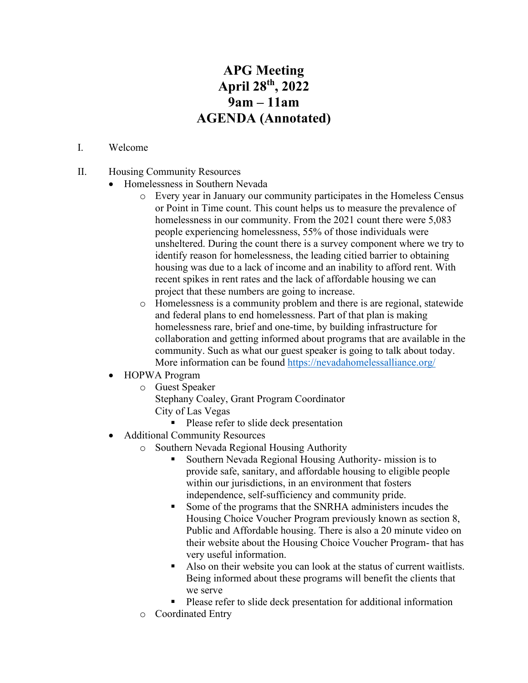## **APG Meeting April 28th, 2022 9am – 11am AGENDA (Annotated)**

## I. Welcome

- II. Housing Community Resources
	- Homelessness in Southern Nevada
		- o Every year in January our community participates in the Homeless Census or Point in Time count. This count helps us to measure the prevalence of homelessness in our community. From the 2021 count there were 5,083 people experiencing homelessness, 55% of those individuals were unsheltered. During the count there is a survey component where we try to identify reason for homelessness, the leading citied barrier to obtaining housing was due to a lack of income and an inability to afford rent. With recent spikes in rent rates and the lack of affordable housing we can project that these numbers are going to increase.
		- o Homelessness is a community problem and there is are regional, statewide and federal plans to end homelessness. Part of that plan is making homelessness rare, brief and one-time, by building infrastructure for collaboration and getting informed about programs that are available in the community. Such as what our guest speaker is going to talk about today. More information can be found<https://nevadahomelessalliance.org/>
	- HOPWA Program
		- o Guest Speaker
			- Stephany Coaley, Grant Program Coordinator
			- City of Las Vegas
				- Please refer to slide deck presentation
	- Additional Community Resources
		- o Southern Nevada Regional Housing Authority
			- Southern Nevada Regional Housing Authority- mission is to provide safe, sanitary, and affordable housing to eligible people within our jurisdictions, in an environment that fosters independence, self-sufficiency and community pride.
			- Some of the programs that the SNRHA administers incudes the Housing Choice Voucher Program previously known as section 8, Public and Affordable housing. There is also a 20 minute video on their website about the Housing Choice Voucher Program- that has very useful information.
			- Also on their website you can look at the status of current waitlists. Being informed about these programs will benefit the clients that we serve
			- **Please refer to slide deck presentation for additional information**
		- o Coordinated Entry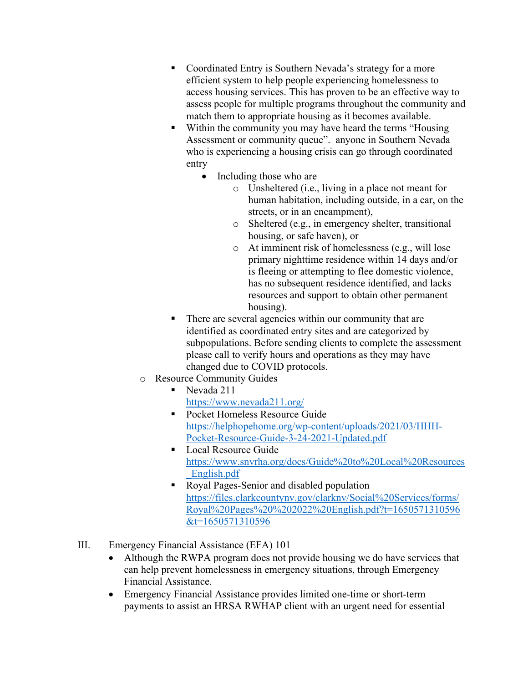- Coordinated Entry is Southern Nevada's strategy for a more efficient system to help people experiencing homelessness to access housing services. This has proven to be an effective way to assess people for multiple programs throughout the community and match them to appropriate housing as it becomes available.
- Within the community you may have heard the terms "Housing Assessment or community queue". anyone in Southern Nevada who is experiencing a housing crisis can go through coordinated entry
	- Including those who are
		- o Unsheltered (i.e., living in a place not meant for human habitation, including outside, in a car, on the streets, or in an encampment),
		- o Sheltered (e.g., in emergency shelter, transitional housing, or safe haven), or
		- o At imminent risk of homelessness (e.g., will lose primary nighttime residence within 14 days and/or is fleeing or attempting to flee domestic violence, has no subsequent residence identified, and lacks resources and support to obtain other permanent housing).
- There are several agencies within our community that are identified as coordinated entry sites and are categorized by subpopulations. Before sending clients to complete the assessment please call to verify hours and operations as they may have changed due to COVID protocols.
- o Resource Community Guides
	- Nevada 211 <https://www.nevada211.org/>
	- **Pocket Homeless Resource Guide** [https://helphopehome.org/wp-content/uploads/2021/03/HHH-](https://helphopehome.org/wp-content/uploads/2021/03/HHH-Pocket-Resource-Guide-3-24-2021-Updated.pdf)[Pocket-Resource-Guide-3-24-2021-Updated.pdf](https://helphopehome.org/wp-content/uploads/2021/03/HHH-Pocket-Resource-Guide-3-24-2021-Updated.pdf)
	- Local Resource Guide [https://www.snvrha.org/docs/Guide%20to%20Local%20Resources](https://www.snvrha.org/docs/Guide%20to%20Local%20Resources_English.pdf) [\\_English.pdf](https://www.snvrha.org/docs/Guide%20to%20Local%20Resources_English.pdf)
	- Royal Pages-Senior and disabled population [https://files.clarkcountynv.gov/clarknv/Social%20Services/forms/](https://files.clarkcountynv.gov/clarknv/Social%20Services/forms/Royal%20Pages%20%202022%20English.pdf?t=1650571310596&t=1650571310596) [Royal%20Pages%20%202022%20English.pdf?t=1650571310596](https://files.clarkcountynv.gov/clarknv/Social%20Services/forms/Royal%20Pages%20%202022%20English.pdf?t=1650571310596&t=1650571310596) [&t=1650571310596](https://files.clarkcountynv.gov/clarknv/Social%20Services/forms/Royal%20Pages%20%202022%20English.pdf?t=1650571310596&t=1650571310596)
- III. Emergency Financial Assistance (EFA) 101
	- Although the RWPA program does not provide housing we do have services that can help prevent homelessness in emergency situations, through Emergency Financial Assistance.
	- Emergency Financial Assistance provides limited one-time or short-term payments to assist an HRSA RWHAP client with an urgent need for essential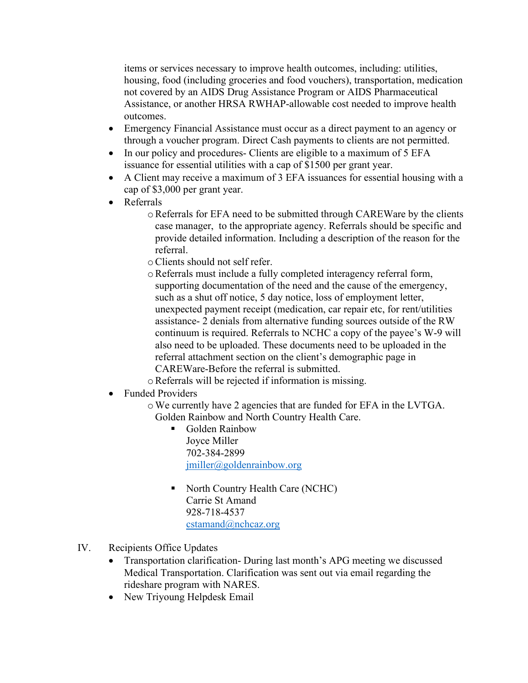items or services necessary to improve health outcomes, including: utilities, housing, food (including groceries and food vouchers), transportation, medication not covered by an AIDS Drug Assistance Program or AIDS Pharmaceutical Assistance, or another HRSA RWHAP-allowable cost needed to improve health outcomes.

- Emergency Financial Assistance must occur as a direct payment to an agency or through a voucher program. Direct Cash payments to clients are not permitted.
- In our policy and procedures- Clients are eligible to a maximum of 5 EFA issuance for essential utilities with a cap of \$1500 per grant year.
- A Client may receive a maximum of 3 EFA issuances for essential housing with a cap of \$3,000 per grant year.
- Referrals
	- oReferrals for EFA need to be submitted through CAREWare by the clients case manager, to the appropriate agency. Referrals should be specific and provide detailed information. Including a description of the reason for the referral.
	- oClients should not self refer.
	- oReferrals must include a fully completed interagency referral form, supporting documentation of the need and the cause of the emergency, such as a shut off notice, 5 day notice, loss of employment letter, unexpected payment receipt (medication, car repair etc, for rent/utilities assistance- 2 denials from alternative funding sources outside of the RW continuum is required. Referrals to NCHC a copy of the payee's W-9 will also need to be uploaded. These documents need to be uploaded in the referral attachment section on the client's demographic page in CAREWare-Before the referral is submitted.
	- oReferrals will be rejected if information is missing.
- Funded Providers
	- oWe currently have 2 agencies that are funded for EFA in the LVTGA. Golden Rainbow and North Country Health Care.
		- Golden Rainbow Joyce Miller 702-384-2899 [jmiller@goldenrainbow.org](mailto:jmiller@goldenrainbow.org)
		- North Country Health Care (NCHC) Carrie St Amand 928-718-4537 [cstamand@nchcaz.org](mailto:cstamand@nchcaz.org)
- IV. Recipients Office Updates
	- Transportation clarification- During last month's APG meeting we discussed Medical Transportation. Clarification was sent out via email regarding the rideshare program with NARES.
	- New Triyoung Helpdesk Email